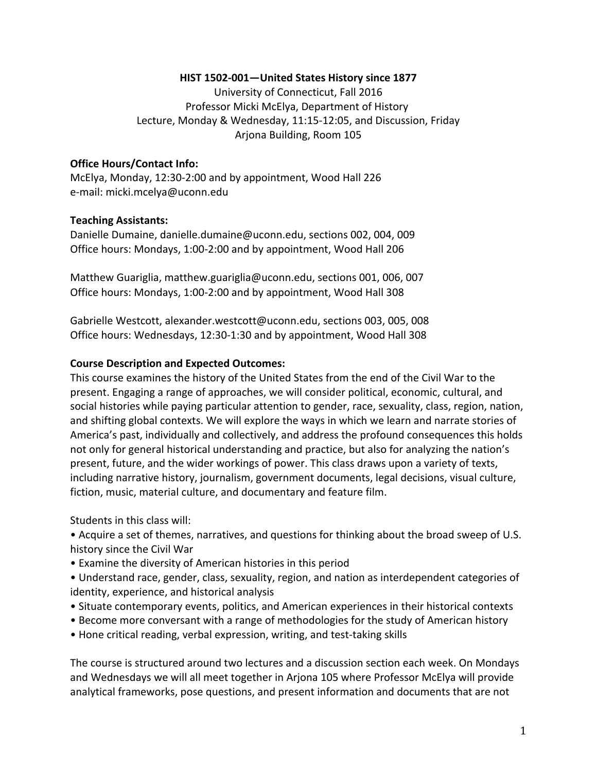#### HIST 1502-001-United States History since 1877

University of Connecticut, Fall 2016 Professor Micki McElya, Department of History Lecture, Monday & Wednesday, 11:15-12:05, and Discussion, Friday Arjona Building, Room 105

#### **Office Hours/Contact Info:**

McElya, Monday, 12:30-2:00 and by appointment, Wood Hall 226 e-mail: micki.mcelya@uconn.edu

#### **Teaching Assistants:**

Danielle Dumaine, danielle.dumaine@uconn.edu, sections 002, 004, 009 Office hours: Mondays, 1:00-2:00 and by appointment, Wood Hall 206

Matthew Guariglia, matthew.guariglia@uconn.edu, sections 001, 006, 007 Office hours: Mondays, 1:00-2:00 and by appointment, Wood Hall 308

Gabrielle Westcott, alexander.westcott@uconn.edu, sections 003, 005, 008 Office hours: Wednesdays, 12:30-1:30 and by appointment, Wood Hall 308

#### **Course Description and Expected Outcomes:**

This course examines the history of the United States from the end of the Civil War to the present. Engaging a range of approaches, we will consider political, economic, cultural, and social histories while paying particular attention to gender, race, sexuality, class, region, nation, and shifting global contexts. We will explore the ways in which we learn and narrate stories of America's past, individually and collectively, and address the profound consequences this holds not only for general historical understanding and practice, but also for analyzing the nation's present, future, and the wider workings of power. This class draws upon a variety of texts, including narrative history, journalism, government documents, legal decisions, visual culture, fiction, music, material culture, and documentary and feature film.

Students in this class will:

• Acquire a set of themes, narratives, and questions for thinking about the broad sweep of U.S. history since the Civil War

• Examine the diversity of American histories in this period

• Understand race, gender, class, sexuality, region, and nation as interdependent categories of identity, experience, and historical analysis

- Situate contemporary events, politics, and American experiences in their historical contexts
- Become more conversant with a range of methodologies for the study of American history
- Hone critical reading, verbal expression, writing, and test-taking skills

The course is structured around two lectures and a discussion section each week. On Mondays and Wednesdays we will all meet together in Arjona 105 where Professor McElya will provide analytical frameworks, pose questions, and present information and documents that are not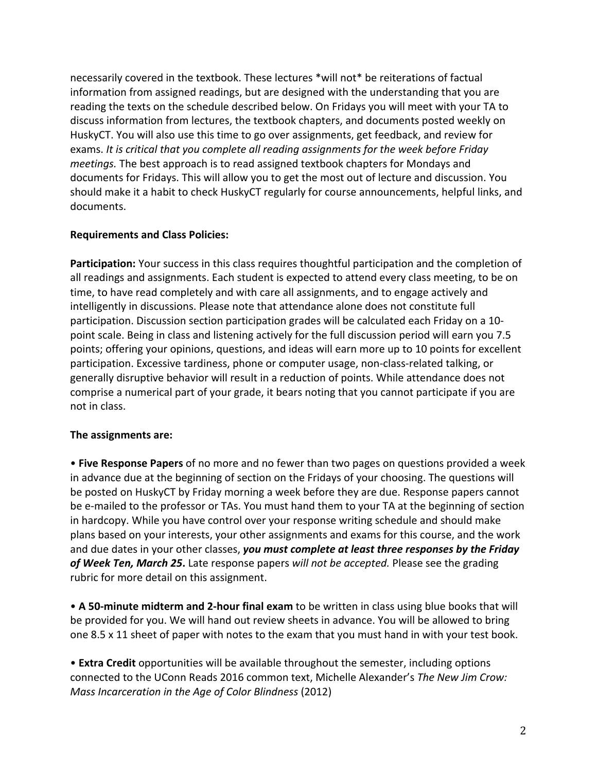necessarily covered in the textbook. These lectures \*will not\* be reiterations of factual information from assigned readings, but are designed with the understanding that you are reading the texts on the schedule described below. On Fridays you will meet with your TA to discuss information from lectures, the textbook chapters, and documents posted weekly on HuskyCT. You will also use this time to go over assignments, get feedback, and review for exams. It is critical that you complete all reading assignments for the week before Friday *meetings.* The best approach is to read assigned textbook chapters for Mondays and documents for Fridays. This will allow you to get the most out of lecture and discussion. You should make it a habit to check HuskyCT regularly for course announcements, helpful links, and documents.

### **Requirements and Class Policies:**

Participation: Your success in this class requires thoughtful participation and the completion of all readings and assignments. Each student is expected to attend every class meeting, to be on time, to have read completely and with care all assignments, and to engage actively and intelligently in discussions. Please note that attendance alone does not constitute full participation. Discussion section participation grades will be calculated each Friday on a 10point scale. Being in class and listening actively for the full discussion period will earn you 7.5 points; offering your opinions, questions, and ideas will earn more up to 10 points for excellent participation. Excessive tardiness, phone or computer usage, non-class-related talking, or generally disruptive behavior will result in a reduction of points. While attendance does not comprise a numerical part of your grade, it bears noting that you cannot participate if you are not in class.

# **The assignments are:**

• **Five Response Papers** of no more and no fewer than two pages on questions provided a week in advance due at the beginning of section on the Fridays of your choosing. The questions will be posted on HuskyCT by Friday morning a week before they are due. Response papers cannot be e-mailed to the professor or TAs. You must hand them to your TA at the beginning of section in hardcopy. While you have control over your response writing schedule and should make plans based on your interests, your other assignments and exams for this course, and the work and due dates in your other classes, you must complete at least three responses by the Friday of Week Ten, March 25. Late response papers will not be accepted. Please see the grading rubric for more detail on this assignment.

• A 50-minute midterm and 2-hour final exam to be written in class using blue books that will be provided for you. We will hand out review sheets in advance. You will be allowed to bring one 8.5 x 11 sheet of paper with notes to the exam that you must hand in with your test book.

• **Extra Credit** opportunities will be available throughout the semester, including options connected to the UConn Reads 2016 common text, Michelle Alexander's *The New Jim Crow: Mass Incarceration in the Age of Color Blindness* (2012)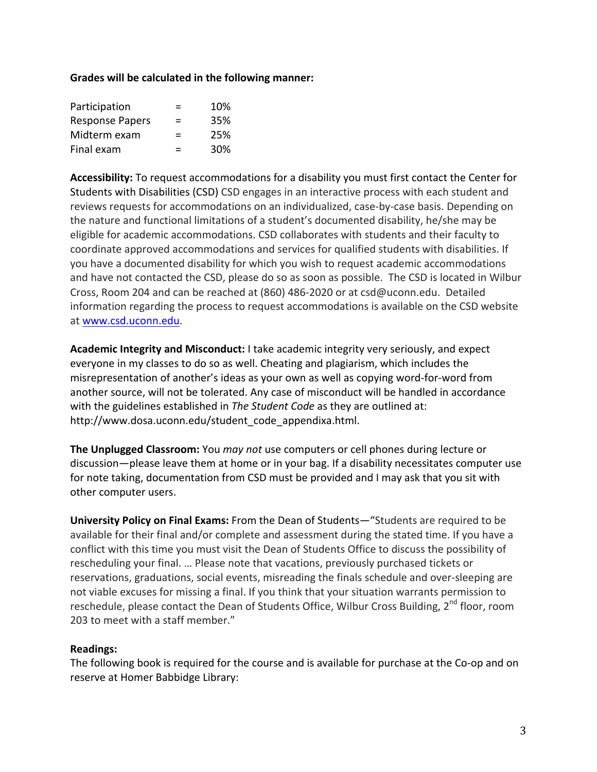#### Grades will be calculated in the following manner:

| Participation          | ⋍ | 10% |
|------------------------|---|-----|
| <b>Response Papers</b> | = | 35% |
| Midterm exam           | ⋍ | 25% |
| Final exam             | = | 30% |

**Accessibility:** To request accommodations for a disability you must first contact the Center for Students with Disabilities (CSD) CSD engages in an interactive process with each student and reviews requests for accommodations on an individualized, case-by-case basis. Depending on the nature and functional limitations of a student's documented disability, he/she may be eligible for academic accommodations. CSD collaborates with students and their faculty to coordinate approved accommodations and services for qualified students with disabilities. If you have a documented disability for which you wish to request academic accommodations and have not contacted the CSD, please do so as soon as possible. The CSD is located in Wilbur Cross, Room 204 and can be reached at  $(860)$  486-2020 or at csd@uconn.edu. Detailed information regarding the process to request accommodations is available on the CSD website at www.csd.uconn.edu.

**Academic Integrity and Misconduct:** I take academic integrity very seriously, and expect everyone in my classes to do so as well. Cheating and plagiarism, which includes the misrepresentation of another's ideas as your own as well as copying word-for-word from another source, will not be tolerated. Any case of misconduct will be handled in accordance with the guidelines established in *The Student Code* as they are outlined at: http://www.dosa.uconn.edu/student\_code\_appendixa.html.

**The Unplugged Classroom:** You *may not* use computers or cell phones during lecture or discussion—please leave them at home or in your bag. If a disability necessitates computer use for note taking, documentation from CSD must be provided and I may ask that you sit with other computer users.

**University Policy on Final Exams:** From the Dean of Students—"Students are required to be available for their final and/or complete and assessment during the stated time. If you have a conflict with this time you must visit the Dean of Students Office to discuss the possibility of rescheduling your final. ... Please note that vacations, previously purchased tickets or reservations, graduations, social events, misreading the finals schedule and over-sleeping are not viable excuses for missing a final. If you think that your situation warrants permission to reschedule, please contact the Dean of Students Office, Wilbur Cross Building,  $2<sup>nd</sup>$  floor, room 203 to meet with a staff member."

# **Readings:**

The following book is required for the course and is available for purchase at the Co-op and on reserve at Homer Babbidge Library: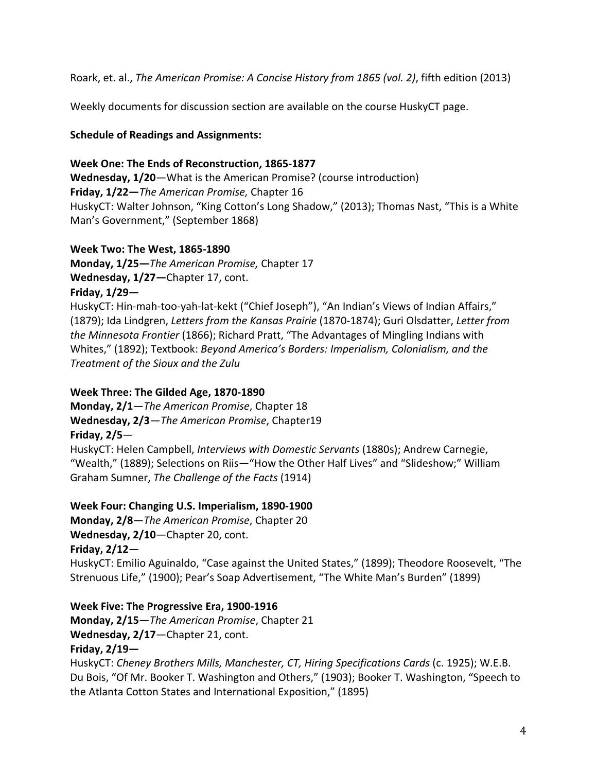Roark, et. al., *The American Promise: A Concise History from 1865 (vol. 2)*, fifth edition (2013)

Weekly documents for discussion section are available on the course HuskyCT page.

## **Schedule of Readings and Assignments:**

### Week One: The Ends of Reconstruction, 1865-1877

**Wednesday, 1/20**—What is the American Promise? (course introduction) **Friday, 1/22**—*The American Promise, Chapter 16* HuskyCT: Walter Johnson, "King Cotton's Long Shadow," (2013); Thomas Nast, "This is a White Man's Government," (September 1868)

### **Week Two: The West, 1865-1890**

**Monday, 1/25**—*The American Promise, Chapter 17* Wednesday, 1/27-Chapter 17, cont.

# **Friday, 1/29—**

HuskyCT: Hin-mah-too-yah-lat-kekt ("Chief Joseph"), "An Indian's Views of Indian Affairs," (1879); Ida Lindgren, *Letters from the Kansas Prairie* (1870-1874); Guri Olsdatter, Letter from *the Minnesota Frontier* (1866); Richard Pratt, "The Advantages of Mingling Indians with Whites," (1892); Textbook: *Beyond America's Borders: Imperialism, Colonialism, and the Treatment of the Sioux and the Zulu*

# Week Three: The Gilded Age, 1870-1890

**Monday, 2/1**—*The American Promise*, Chapter 18 Wednesday, 2/3-The American Promise, Chapter19 **Friday, 2/5**—

HuskyCT: Helen Campbell, *Interviews with Domestic Servants* (1880s); Andrew Carnegie, "Wealth," (1889); Selections on Riis—"How the Other Half Lives" and "Slideshow;" William Graham Sumner, *The Challenge of the Facts* (1914)

# Week Four: Changing U.S. Imperialism, 1890-1900

**Monday, 2/8**—*The American Promise*, Chapter 20 **Wednesday, 2/10**—Chapter 20, cont. **Friday, 2/12**— HuskyCT: Emilio Aguinaldo, "Case against the United States," (1899); Theodore Roosevelt, "The Strenuous Life," (1900); Pear's Soap Advertisement, "The White Man's Burden" (1899)

# **Week Five: The Progressive Era, 1900-1916**

**Monday, 2/15**—*The American Promise*, Chapter 21 Wednesday, 2/17-Chapter 21, cont. **Friday, 2/19—**

HuskyCT: Cheney Brothers Mills, Manchester, CT, Hiring Specifications Cards (c. 1925); W.E.B. Du Bois, "Of Mr. Booker T. Washington and Others," (1903); Booker T. Washington, "Speech to the Atlanta Cotton States and International Exposition," (1895)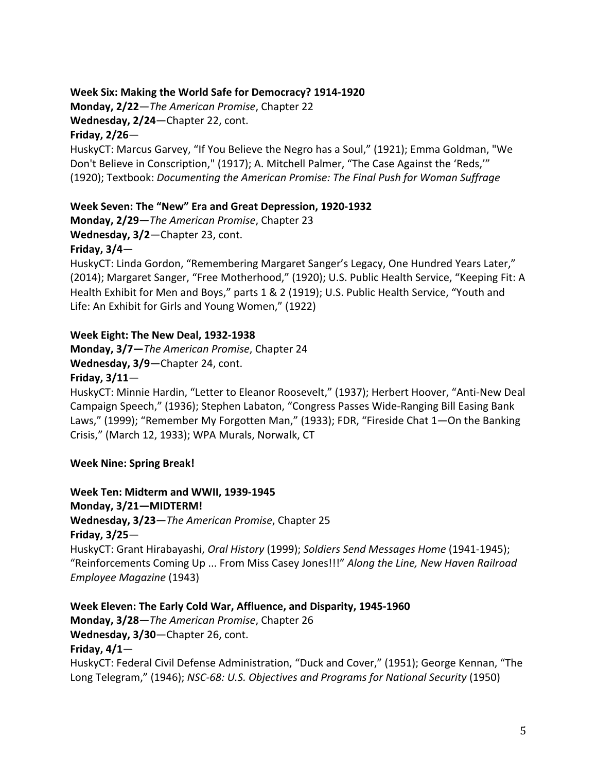## Week Six: Making the World Safe for Democracy? 1914-1920

**Monday, 2/22**—*The American Promise*, Chapter 22 **Wednesday, 2/24**—Chapter 22, cont.

## **Friday, 2/26**—

HuskyCT: Marcus Garvey, "If You Believe the Negro has a Soul," (1921); Emma Goldman, "We Don't Believe in Conscription," (1917); A. Mitchell Palmer, "The Case Against the 'Reds," (1920); Textbook: *Documenting the American Promise: The Final Push for Woman Suffrage*

# Week Seven: The "New" Era and Great Depression, 1920-1932

**Monday, 2/29**—*The American Promise*, Chapter 23

Wednesday, 3/2-Chapter 23, cont.

### Friday,  $3/4-$

HuskyCT: Linda Gordon, "Remembering Margaret Sanger's Legacy, One Hundred Years Later," (2014); Margaret Sanger, "Free Motherhood," (1920); U.S. Public Health Service, "Keeping Fit: A Health Exhibit for Men and Boys," parts 1 & 2 (1919); U.S. Public Health Service, "Youth and Life: An Exhibit for Girls and Young Women," (1922)

# Week Eight: The New Deal, 1932-1938

**Monday, 3/7-The American Promise, Chapter 24** Wednesday, 3/9-Chapter 24, cont.

### Friday,  $3/11$ —

HuskyCT: Minnie Hardin, "Letter to Eleanor Roosevelt," (1937); Herbert Hoover, "Anti-New Deal Campaign Speech," (1936); Stephen Labaton, "Congress Passes Wide-Ranging Bill Easing Bank Laws," (1999); "Remember My Forgotten Man," (1933); FDR, "Fireside Chat 1—On the Banking Crisis," (March 12, 1933); WPA Murals, Norwalk, CT

# **Week Nine: Spring Break!**

**Week Ten: Midterm and WWII, 1939-1945 Monday, 3/21—MIDTERM! Wednesday, 3/23**—*The American Promise*, Chapter 25 **Friday, 3/25**— HuskyCT: Grant Hirabayashi, *Oral History* (1999); Soldiers Send Messages Home (1941-1945); "Reinforcements Coming Up ... From Miss Casey Jones!!!" Along the Line, New Haven Railroad *Employee Magazine* (1943)

Week Eleven: The Early Cold War, Affluence, and Disparity, 1945-1960 **Monday, 3/28**—*The American Promise*, Chapter 26 Wednesday, 3/30-Chapter 26, cont. Friday,  $4/1-$ HuskyCT: Federal Civil Defense Administration, "Duck and Cover," (1951); George Kennan, "The Long Telegram," (1946); *NSC-68: U.S. Objectives and Programs for National Security* (1950)